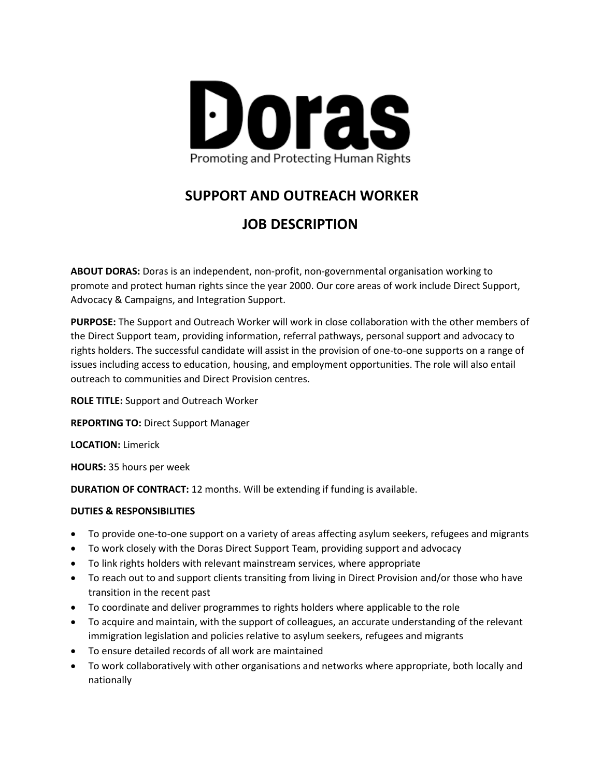

# **SUPPORT AND OUTREACH WORKER**

# **JOB DESCRIPTION**

**ABOUT DORAS:** Doras is an independent, non-profit, non-governmental organisation working to promote and protect human rights since the year 2000. Our core areas of work include Direct Support, Advocacy & Campaigns, and Integration Support.

**PURPOSE:** The Support and Outreach Worker will work in close collaboration with the other members of the Direct Support team, providing information, referral pathways, personal support and advocacy to rights holders. The successful candidate will assist in the provision of one-to-one supports on a range of issues including access to education, housing, and employment opportunities. The role will also entail outreach to communities and Direct Provision centres.

**ROLE TITLE:** Support and Outreach Worker

**REPORTING TO:** Direct Support Manager

**LOCATION:** Limerick

**HOURS:** 35 hours per week

**DURATION OF CONTRACT:** 12 months. Will be extending if funding is available.

### **DUTIES & RESPONSIBILITIES**

- To provide one-to-one support on a variety of areas affecting asylum seekers, refugees and migrants
- To work closely with the Doras Direct Support Team, providing support and advocacy
- To link rights holders with relevant mainstream services, where appropriate
- To reach out to and support clients transiting from living in Direct Provision and/or those who have transition in the recent past
- To coordinate and deliver programmes to rights holders where applicable to the role
- To acquire and maintain, with the support of colleagues, an accurate understanding of the relevant immigration legislation and policies relative to asylum seekers, refugees and migrants
- To ensure detailed records of all work are maintained
- To work collaboratively with other organisations and networks where appropriate, both locally and nationally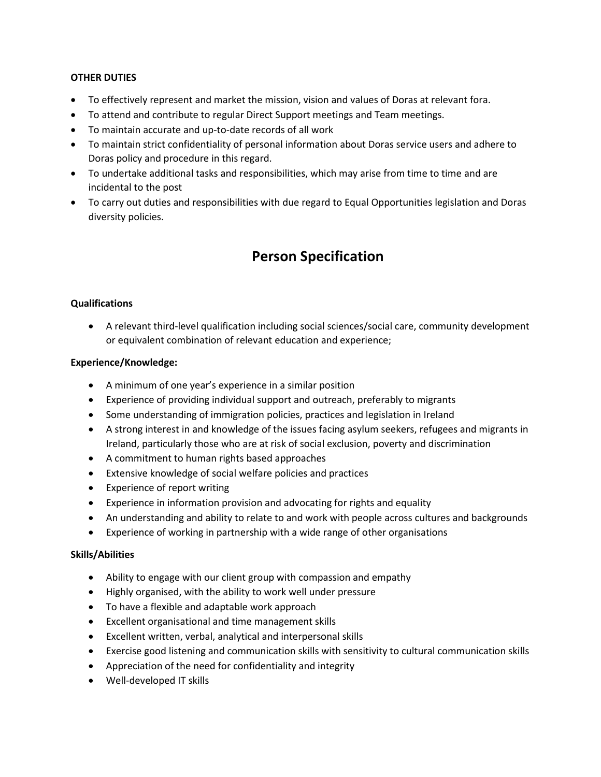### **OTHER DUTIES**

- To effectively represent and market the mission, vision and values of Doras at relevant fora.
- To attend and contribute to regular Direct Support meetings and Team meetings.
- To maintain accurate and up-to-date records of all work
- To maintain strict confidentiality of personal information about Doras service users and adhere to Doras policy and procedure in this regard.
- To undertake additional tasks and responsibilities, which may arise from time to time and are incidental to the post
- To carry out duties and responsibilities with due regard to Equal Opportunities legislation and Doras diversity policies.

## **Person Specification**

### **Qualifications**

• A relevant third-level qualification including social sciences/social care, community development or equivalent combination of relevant education and experience;

### **Experience/Knowledge:**

- A minimum of one year's experience in a similar position
- Experience of providing individual support and outreach, preferably to migrants
- Some understanding of immigration policies, practices and legislation in Ireland
- A strong interest in and knowledge of the issues facing asylum seekers, refugees and migrants in Ireland, particularly those who are at risk of social exclusion, poverty and discrimination
- A commitment to human rights based approaches
- Extensive knowledge of social welfare policies and practices
- Experience of report writing
- Experience in information provision and advocating for rights and equality
- An understanding and ability to relate to and work with people across cultures and backgrounds
- Experience of working in partnership with a wide range of other organisations

### **Skills/Abilities**

- Ability to engage with our client group with compassion and empathy
- Highly organised, with the ability to work well under pressure
- To have a flexible and adaptable work approach
- Excellent organisational and time management skills
- Excellent written, verbal, analytical and interpersonal skills
- Exercise good listening and communication skills with sensitivity to cultural communication skills
- Appreciation of the need for confidentiality and integrity
- Well-developed IT skills